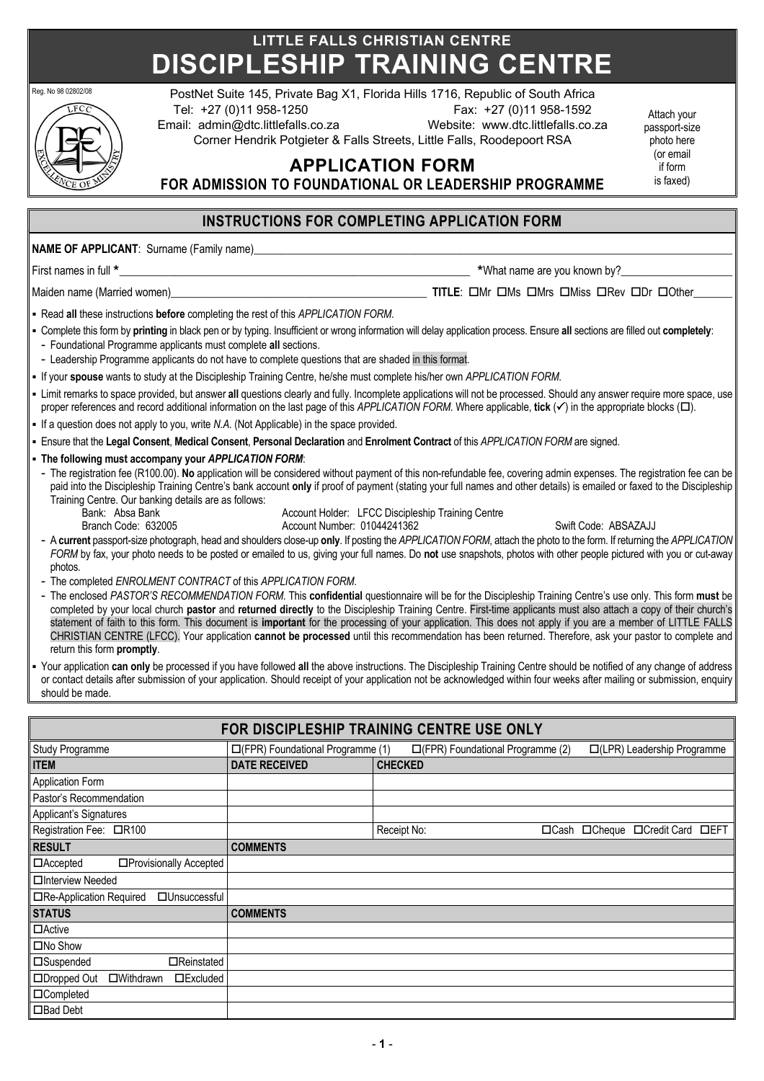# **LITTLE FALLS CHRISTIAN CENTRE DISCIPLESHIP TRAINING CENTRE**



Reg. No 98 0280208 PostNet Suite 145, Private Bag X1, Florida Hills 1716, Republic of South Africa

Tel: +27 (0)11 958-1250 Fax: +27 (0)11 958-1592 Email: admin@dtc.littlefalls.co.za Website: www.dtc.littlefalls.co.za

Corner Hendrik Potgieter & Falls Streets, Little Falls, Roodepoort RSA

**APPLICATION FORM**

Attach your passport-size photo here (or email if form is faxed)

## **FOR ADMISSION TO FOUNDATIONAL OR LEADERSHIP PROGRAMME**

## **INSTRUCTIONS FOR COMPLETING APPLICATION FORM**

**NAME OF APPLICANT: Surname (Family name)** 

Maiden name (Married women)\_\_\_\_\_\_\_\_\_\_\_\_\_\_\_\_\_\_\_\_\_\_\_\_\_\_\_\_\_\_\_\_\_\_\_\_\_\_\_\_\_\_\_\_\_\_ **TITLE**: oMr oMs oMrs oMiss oRev oDr oOther\_\_\_\_\_\_\_

First names in full  $*$  and the set of the set of the set of the set of the set of the set of the set of the set of the set of the set of the set of the set of the set of the set of the set of the set of the set of the set

§ Read **all** these instructions **before** completing the rest of this *APPLICATION FORM*.

- § Complete this form by **printing** in black pen or by typing. Insufficient or wrong information will delay application process. Ensure **all** sections are filled out **completely**:
- Foundational Programme applicants must complete **all** sections.
- Leadership Programme applicants do not have to complete questions that are shaded in this format.
- § If your **spouse** wants to study at the Discipleship Training Centre, he/she must complete his/her own *APPLICATION FORM*.
- Limit remarks to space provided, but answer all questions clearly and fully. Incomplete applications will not be processed. Should any answer require more space, use proper references and record additional information on the last page of this *APPLICATION FORM*. Where applicable, **tick** ( $\checkmark$ ) in the appropriate blocks ( $\square$ ).
- § If a question does not apply to you, write *N.A.* (Not Applicable) in the space provided.
- § Ensure that the **Legal Consent**, **Medical Consent**, **Personal Declaration** and **Enrolment Contract** of this *APPLICATION FORM* are signed.
- § **The following must accompany your** *APPLICATION FORM*:
- The registration fee (R100.00). **No** application will be considered without payment of this non-refundable fee, covering admin expenses. The registration fee can be paid into the Discipleship Training Centre's bank account **only** if proof of payment (stating your full names and other details) is emailed or faxed to the Discipleship Training Centre. Our banking details are as follows:
	-
	- Bank: Absa Bank (Account Holder: LFCC Discipleship Training Centre 1999)<br>Branch Code: 632005 (Account Number: 01044241362) Account Number: 01044241362 Swift Code: ABSAZAJJ

- A **current** passport-size photograph, head and shoulders close-up **only**. If posting the *APPLICATION FORM*, attach the photo to the form. If returning the *APPLICATION FORM* by fax, your photo needs to be posted or emailed to us, giving your full names. Do **not** use snapshots, photos with other people pictured with you or cut-away photos.
- The completed *ENROLMENT CONTRACT* of this *APPLICATION FORM*.
- The enclosed *PASTOR'S RECOMMENDATION FORM*. This **confidential** questionnaire will be for the Discipleship Training Centre's use only. This form **must** be completed by your local church **pastor** and **returned directly** to the Discipleship Training Centre. First-time applicants must also attach a copy of their church's statement of faith to this form. This document is **important** for the processing of your application. This does not apply if you are a member of LITTLE FALLS CHRISTIAN CENTRE (LFCC). Your application **cannot be processed** until this recommendation has been returned. Therefore, ask your pastor to complete and return this form **promptly**.
- § Your application **can only** be processed if you have followed **all** the above instructions. The Discipleship Training Centre should be notified of any change of address or contact details after submission of your application. Should receipt of your application not be acknowledged within four weeks after mailing or submission, enquiry should be made.

| FOR DISCIPLESHIP TRAINING CENTRE USE ONLY                |                                   |                                   |             |                             |                   |  |  |
|----------------------------------------------------------|-----------------------------------|-----------------------------------|-------------|-----------------------------|-------------------|--|--|
| Study Programme                                          | □(FPR) Foundational Programme (1) | □(FPR) Foundational Programme (2) |             | □(LPR) Leadership Programme |                   |  |  |
| <b>ITEM</b>                                              | <b>DATE RECEIVED</b>              | <b>CHECKED</b>                    |             |                             |                   |  |  |
| Application Form                                         |                                   |                                   |             |                             |                   |  |  |
| Pastor's Recommendation                                  |                                   |                                   |             |                             |                   |  |  |
| Applicant's Signatures                                   |                                   |                                   |             |                             |                   |  |  |
| Registration Fee: □R100                                  |                                   | Receipt No:                       | $\Box$ Cash | $\Box$ Cheque               | □Credit Card □EFT |  |  |
| <b>RESULT</b>                                            | <b>COMMENTS</b>                   |                                   |             |                             |                   |  |  |
| □Provisionally Accepted<br>$\Box$ Accepted               |                                   |                                   |             |                             |                   |  |  |
| □Interview Needed                                        |                                   |                                   |             |                             |                   |  |  |
| □Re-Application Required<br>□Unsuccessful                |                                   |                                   |             |                             |                   |  |  |
| <b>STATUS</b>                                            | <b>COMMENTS</b>                   |                                   |             |                             |                   |  |  |
| □Active                                                  |                                   |                                   |             |                             |                   |  |  |
| $\square$ No Show                                        |                                   |                                   |             |                             |                   |  |  |
| □Suspended<br>□Reinstated                                |                                   |                                   |             |                             |                   |  |  |
| □Dropped Out<br>$\square$ Withdrawn<br><b>IDExcluded</b> |                                   |                                   |             |                             |                   |  |  |
| □Completed                                               |                                   |                                   |             |                             |                   |  |  |
| □Bad Debt                                                |                                   |                                   |             |                             |                   |  |  |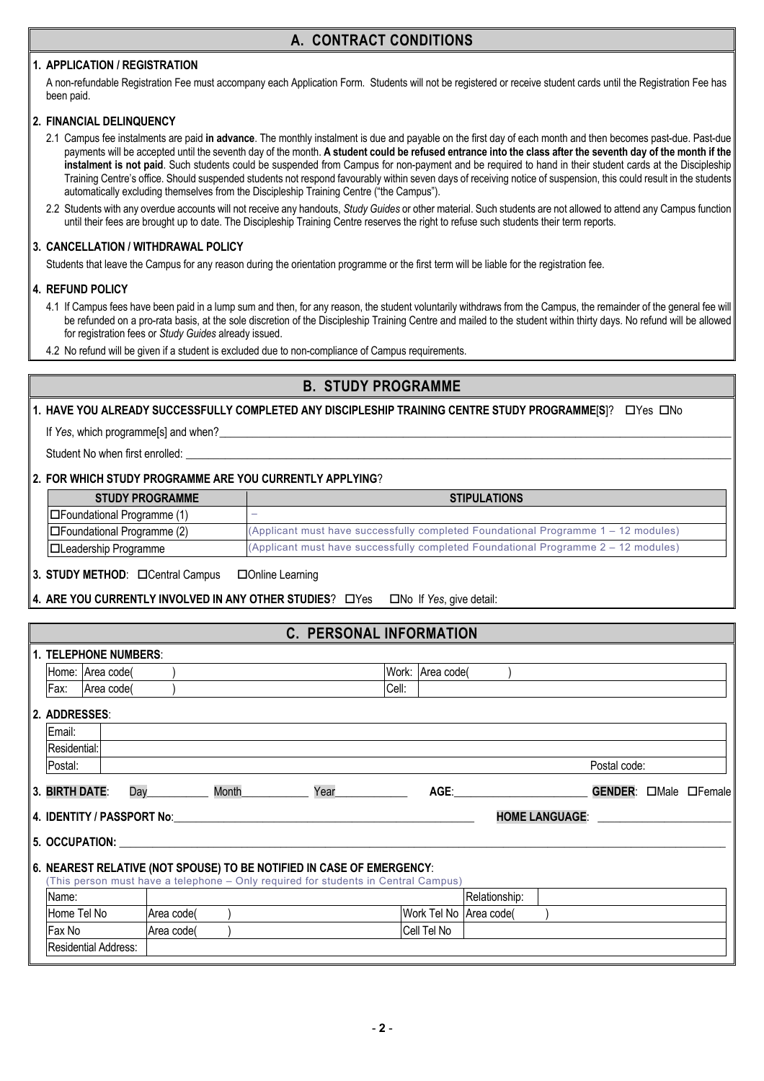## **A. CONTRACT CONDITIONS**

#### **1. APPLICATION / REGISTRATION**

A non-refundable Registration Fee must accompany each Application Form. Students will not be registered or receive student cards until the Registration Fee has been paid.

#### **2. FINANCIAL DELINQUENCY**

- 2.1 Campus fee instalments are paid **in advance**. The monthly instalment is due and payable on the first day of each month and then becomes past-due. Past-due payments will be accepted until the seventh day of the month. **A student could be refused entrance into the class after the seventh day of the month if the instalment is not paid**. Such students could be suspended from Campus for non-payment and be required to hand in their student cards at the Discipleship Training Centre's office. Should suspended students not respond favourably within seven days of receiving notice of suspension, this could result in the students automatically excluding themselves from the Discipleship Training Centre ("the Campus").
- 2.2 Students with any overdue accounts will not receive any handouts, *Study Guides* or other material. Such students are not allowed to attend any Campus function until their fees are brought up to date. The Discipleship Training Centre reserves the right to refuse such students their term reports.

#### **3. CANCELLATION / WITHDRAWAL POLICY**

Students that leave the Campus for any reason during the orientation programme or the first term will be liable for the registration fee.

#### **4. REFUND POLICY**

- 4.1 If Campus fees have been paid in a lump sum and then, for any reason, the student voluntarily withdraws from the Campus, the remainder of the general fee will be refunded on a pro-rata basis, at the sole discretion of the Discipleship Training Centre and mailed to the student within thirty days. No refund will be allowed for registration fees or *Study Guides* already issued.
- 4.2 No refund will be given if a student is excluded due to non-compliance of Campus requirements.

## **B. STUDY PROGRAMME**

**1. HAVE YOU ALREADY SUCCESSFULLY COMPLETED ANY DISCIPLESHIP TRAINING CENTRE STUDY PROGRAMME[S]?** OYes ONo

If *Yes*, which programmelsl and when?

Student No when first enrolled:

#### **2. FOR WHICH STUDY PROGRAMME ARE YOU CURRENTLY APPLYING**?

| <b>STUDY PROGRAMME</b>             | <b>STIPULATIONS</b>                                                                  |
|------------------------------------|--------------------------------------------------------------------------------------|
| $ \Box$ Foundational Programme (1) |                                                                                      |
| □Foundational Programme (2)        | (Applicant must have successfully completed Foundational Programme $1 - 12$ modules) |
| <b>□Leadership Programme</b>       | (Applicant must have successfully completed Foundational Programme $2 - 12$ modules) |

**3. STUDY METHOD:** Central Campus Clonline Learning

**4. ARE YOU CURRENTLY INVOLVED IN ANY OTHER STUDIES?** OYes ONo If *Yes*, give detail:

#### **C. PERSONAL INFORMATION**

|                | <b>1. TELEPHONE NUMBERS:</b> |     |                                                                                    |       |      |       |                                                                                                                                                                                                                               |                        |                       |                |               |
|----------------|------------------------------|-----|------------------------------------------------------------------------------------|-------|------|-------|-------------------------------------------------------------------------------------------------------------------------------------------------------------------------------------------------------------------------------|------------------------|-----------------------|----------------|---------------|
|                | Home: Area code(             |     |                                                                                    |       |      |       | Work: Area code(                                                                                                                                                                                                              |                        |                       |                |               |
| Fax:           | Area code(                   |     |                                                                                    |       |      | Cell: |                                                                                                                                                                                                                               |                        |                       |                |               |
| 2. ADDRESSES:  |                              |     |                                                                                    |       |      |       |                                                                                                                                                                                                                               |                        |                       |                |               |
| Email:         |                              |     |                                                                                    |       |      |       |                                                                                                                                                                                                                               |                        |                       |                |               |
| Residential:   |                              |     |                                                                                    |       |      |       |                                                                                                                                                                                                                               |                        |                       |                |               |
| Postal:        |                              |     |                                                                                    |       |      |       |                                                                                                                                                                                                                               |                        |                       | Postal code:   |               |
| 3. BIRTH DATE: |                              | Day |                                                                                    | Month | Year |       | AGE: And the set of the set of the set of the set of the set of the set of the set of the set of the set of the set of the set of the set of the set of the set of the set of the set of the set of the set of the set of the |                        |                       | <b>GENDER:</b> | □Male □Female |
|                |                              |     | 4. IDENTITY / PASSPORT No:                                                         |       |      |       |                                                                                                                                                                                                                               |                        | <b>HOME LANGUAGE:</b> |                |               |
|                | 5. OCCUPATION:               |     |                                                                                    |       |      |       |                                                                                                                                                                                                                               |                        |                       |                |               |
|                |                              |     | 6. NEAREST RELATIVE (NOT SPOUSE) TO BE NOTIFIED IN CASE OF EMERGENCY:              |       |      |       |                                                                                                                                                                                                                               |                        |                       |                |               |
|                |                              |     | (This person must have a telephone - Only required for students in Central Campus) |       |      |       |                                                                                                                                                                                                                               |                        |                       |                |               |
| Name:          |                              |     |                                                                                    |       |      |       |                                                                                                                                                                                                                               | Relationship:          |                       |                |               |
| Home Tel No    |                              |     | Area code(                                                                         |       |      |       |                                                                                                                                                                                                                               | Work Tel No Area code( |                       |                |               |
| Fax No         |                              |     | Area code                                                                          |       |      |       | Cell Tel No                                                                                                                                                                                                                   |                        |                       |                |               |
|                | Residential Address:         |     |                                                                                    |       |      |       |                                                                                                                                                                                                                               |                        |                       |                |               |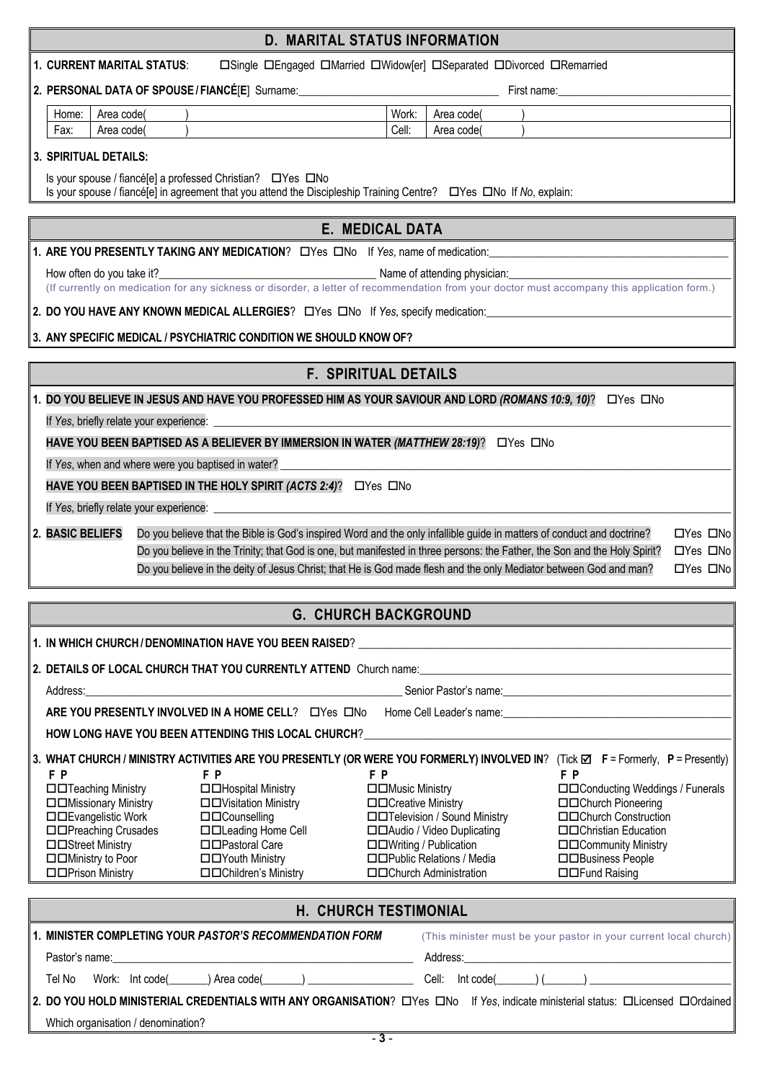|                                           |                                                                                                                                                                                                                                                | <b>D. MARITAL STATUS INFORMATION</b>                   |                                              |  |  |  |  |
|-------------------------------------------|------------------------------------------------------------------------------------------------------------------------------------------------------------------------------------------------------------------------------------------------|--------------------------------------------------------|----------------------------------------------|--|--|--|--|
|                                           | <b>1. CURRENT MARITAL STATUS:</b><br>□Single □Engaged □Married □Widow[er] □Separated □Divorced □Remarried                                                                                                                                      |                                                        |                                              |  |  |  |  |
|                                           |                                                                                                                                                                                                                                                |                                                        |                                              |  |  |  |  |
| Area code(<br>Home: I                     |                                                                                                                                                                                                                                                | Work:<br>Area code(                                    |                                              |  |  |  |  |
| Fax:<br>Area code                         |                                                                                                                                                                                                                                                | Cell:<br>Area code                                     |                                              |  |  |  |  |
| 3. SPIRITUAL DETAILS:                     |                                                                                                                                                                                                                                                |                                                        |                                              |  |  |  |  |
|                                           | Is your spouse / fiancé[e] a professed Christian? □ Yes □ No<br>Is your spouse / fiancé[e] in agreement that you attend the Discipleship Training Centre?  LYes  LNo If No, explain:                                                           |                                                        |                                              |  |  |  |  |
|                                           |                                                                                                                                                                                                                                                | <b>E. MEDICAL DATA</b>                                 |                                              |  |  |  |  |
|                                           | 1. ARE YOU PRESENTLY TAKING ANY MEDICATION? LYes LINo If Yes, name of medication:                                                                                                                                                              |                                                        |                                              |  |  |  |  |
| How often do you take it?                 | Name of attending physician:                                                                                                                                                                                                                   |                                                        |                                              |  |  |  |  |
|                                           | (If currently on medication for any sickness or disorder, a letter of recommendation from your doctor must accompany this application form.)                                                                                                   |                                                        |                                              |  |  |  |  |
|                                           | 2. DO YOU HAVE ANY KNOWN MEDICAL ALLERGIES? LYes LNo If Yes, specify medication:                                                                                                                                                               |                                                        |                                              |  |  |  |  |
|                                           | 3. ANY SPECIFIC MEDICAL / PSYCHIATRIC CONDITION WE SHOULD KNOW OF?                                                                                                                                                                             |                                                        |                                              |  |  |  |  |
|                                           |                                                                                                                                                                                                                                                | <b>F. SPIRITUAL DETAILS</b>                            |                                              |  |  |  |  |
|                                           | 1. DO YOU BELIEVE IN JESUS AND HAVE YOU PROFESSED HIM AS YOUR SAVIOUR AND LORD (ROMANS 10:9, 10)? □ Yes □ No                                                                                                                                   |                                                        |                                              |  |  |  |  |
|                                           |                                                                                                                                                                                                                                                |                                                        |                                              |  |  |  |  |
|                                           | HAVE YOU BEEN BAPTISED AS A BELIEVER BY IMMERSION IN WATER (MATTHEW 28:19)? OYes ONo                                                                                                                                                           |                                                        |                                              |  |  |  |  |
|                                           | If Yes, when and where were you baptised in water?                                                                                                                                                                                             |                                                        |                                              |  |  |  |  |
|                                           | HAVE YOU BEEN BAPTISED IN THE HOLY SPIRIT (ACTS 2:4)? DYes DNo                                                                                                                                                                                 |                                                        |                                              |  |  |  |  |
|                                           |                                                                                                                                                                                                                                                |                                                        |                                              |  |  |  |  |
| 2. BASIC BELIEFS                          | Do you believe that the Bible is God's inspired Word and the only infallible guide in matters of conduct and doctrine?                                                                                                                         |                                                        | $\Box$ Yes $\Box$ No                         |  |  |  |  |
|                                           | Do you believe in the Trinity; that God is one, but manifested in three persons: the Father, the Son and the Holy Spirit?<br>Do you believe in the deity of Jesus Christ; that He is God made flesh and the only Mediator between God and man? |                                                        | $\Box$ Yes $\Box$ No<br>$\Box$ Yes $\Box$ No |  |  |  |  |
|                                           |                                                                                                                                                                                                                                                |                                                        |                                              |  |  |  |  |
|                                           |                                                                                                                                                                                                                                                | <b>G. CHURCH BACKGROUND</b>                            |                                              |  |  |  |  |
|                                           | 1. IN WHICH CHURCH / DENOMINATION HAVE YOU BEEN RAISED? _________________________                                                                                                                                                              |                                                        |                                              |  |  |  |  |
|                                           |                                                                                                                                                                                                                                                |                                                        |                                              |  |  |  |  |
|                                           | Address: example and the contract of the contract of the contract of the contract of the contract of the contract of the contract of the contract of the contract of the contract of the contract of the contract of the contr                 |                                                        |                                              |  |  |  |  |
|                                           | ARE YOU PRESENTLY INVOLVED IN A HOME CELL? LYes LINO                                                                                                                                                                                           |                                                        |                                              |  |  |  |  |
|                                           | HOW LONG HAVE YOU BEEN ATTENDING THIS LOCAL CHURCH?                                                                                                                                                                                            |                                                        |                                              |  |  |  |  |
|                                           | 3. WHAT CHURCH / MINISTRY ACTIVITIES ARE YOU PRESENTLY (OR WERE YOU FORMERLY) INVOLVED IN? (Tick ⊠ F = Formerly, P = Presently)                                                                                                                |                                                        |                                              |  |  |  |  |
| F P<br>□□Teaching Ministry                | F P<br>□□Hospital Ministry                                                                                                                                                                                                                     | F P<br>□□Music Ministry                                | F P<br>□□Conducting Weddings / Funerals      |  |  |  |  |
| □□Missionary Ministry                     | □□Visitation Ministry                                                                                                                                                                                                                          | □□Creative Ministry                                    | □□Church Pioneering                          |  |  |  |  |
| □□Evangelistic Work                       | □□Counselling                                                                                                                                                                                                                                  | □□Television / Sound Ministry                          | □□Church Construction                        |  |  |  |  |
| □□Preaching Crusades<br>□□Street Ministry | □□Leading Home Cell<br>□□Pastoral Care                                                                                                                                                                                                         | □□Audio / Video Duplicating<br>□□Writing / Publication | □□Christian Education                        |  |  |  |  |
| □□Ministry to Poor                        | □□Youth Ministry                                                                                                                                                                                                                               | □□Public Relations / Media                             | □□Community Ministry<br>□□Business People    |  |  |  |  |
| □□Prison Ministry                         | □□Children's Ministry                                                                                                                                                                                                                          | <b>IDO</b> Church Administration                       | □□Fund Raising                               |  |  |  |  |

| H. CHURCH TESTIMONIAL                                                                                                           |                                                                  |  |  |  |  |  |
|---------------------------------------------------------------------------------------------------------------------------------|------------------------------------------------------------------|--|--|--|--|--|
| 1. MINISTER COMPLETING YOUR <i>PASTOR'S RECOMMENDATION FORM</i>                                                                 | (This minister must be your pastor in your current local church) |  |  |  |  |  |
|                                                                                                                                 |                                                                  |  |  |  |  |  |
| Tel No Work: lnt code( _____) Area code( _____) ______________________Cell: lnt code( _____) (______) ________                  |                                                                  |  |  |  |  |  |
| 2. DO YOU HOLD MINISTERIAL CREDENTIALS WITH ANY ORGANISATION? LYes LNo If Yes, indicate ministerial status: LLicensed LOrdained |                                                                  |  |  |  |  |  |
| Which organisation / denomination?                                                                                              |                                                                  |  |  |  |  |  |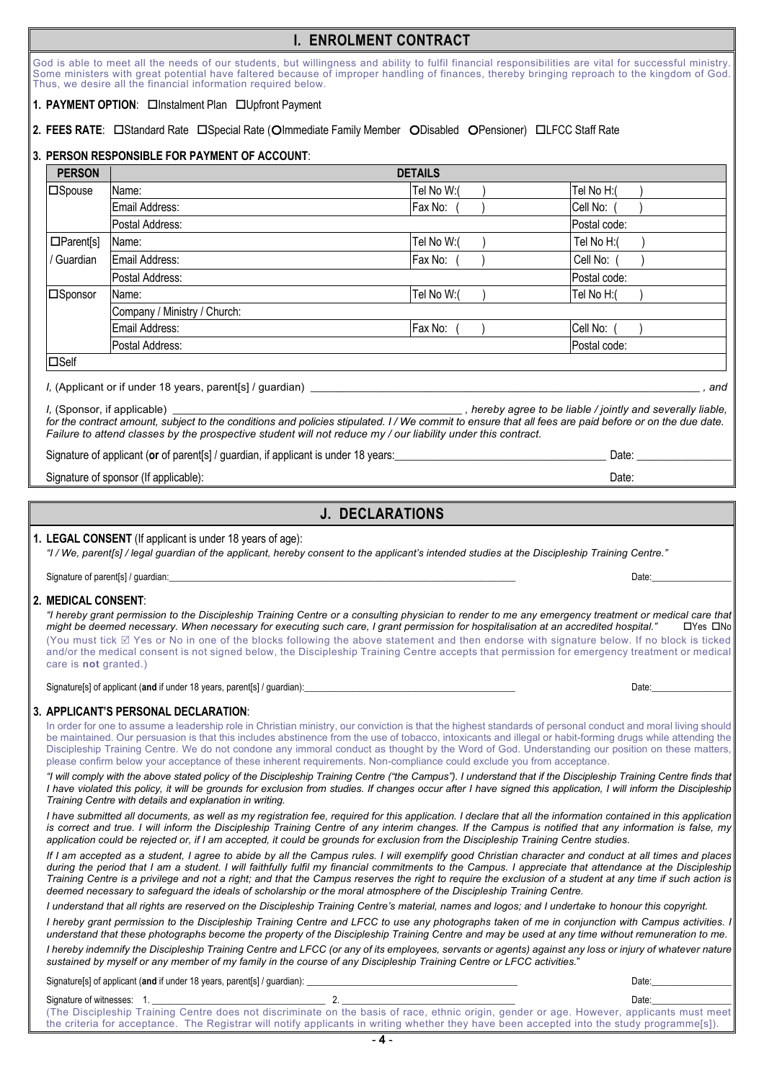## **I. ENROLMENT CONTRACT**

God is able to meet all the needs of our students, but willingness and ability to fulfil financial responsibilities are vital for successful ministry. Some ministers with great potential have faltered because of improper handling of finances, thereby bringing reproach to the kingdom of God. Thus, we desire all the financial information required below.

#### 1. **PAYMENT OPTION: OInstalment Plan OUpfront Payment**

#### 2. FEES RATE: CStandard Rate CSpecial Rate (Olmmediate Family Member ODisabled OPensioner) CLFCC Staff Rate

#### **3. PERSON RESPONSIBLE FOR PAYMENT OF ACCOUNT**:

| <b>PERSON</b>    |                                                                                                                                                                                 | <b>DETAILS</b> |                                                             |
|------------------|---------------------------------------------------------------------------------------------------------------------------------------------------------------------------------|----------------|-------------------------------------------------------------|
| $\square$ Spouse | Name:                                                                                                                                                                           | Tel No W:(     | Tel No H:(                                                  |
|                  | Email Address:                                                                                                                                                                  | Fax No:        | Cell No:                                                    |
|                  | Postal Address:                                                                                                                                                                 |                | Postal code:                                                |
| $\Box$ Parent[s] | Name:                                                                                                                                                                           | Tel No W:(     | Tel No H:(                                                  |
| / Guardian       | Email Address:                                                                                                                                                                  | Fax No:        | Cell No:                                                    |
|                  | Postal Address:                                                                                                                                                                 |                | Postal code:                                                |
| □ Sponsor        | Name:                                                                                                                                                                           | Tel No W:(     | Tel No H:(                                                  |
|                  | Company / Ministry / Church:                                                                                                                                                    |                |                                                             |
|                  | Email Address:                                                                                                                                                                  | Fax No:        | Cell No:                                                    |
|                  | Postal Address:                                                                                                                                                                 |                | Postal code:                                                |
| $\square$ Self   |                                                                                                                                                                                 |                |                                                             |
|                  | I, (Applicant or if under 18 years, parent[s] / guardian)                                                                                                                       |                | and                                                         |
|                  | I, (Sponsor, if applicable)<br>for the contract emount oubject to the conditions and policies stipulated U/U/e commit to enouge that all fees are poid before area the due data |                | , hereby agree to be liable / jointly and severally liable, |

*for the contract amount, subject to the conditions and policies stipulated. I / We commit to ensure that all fees are paid before or on the due date. Failure to attend classes by the prospective student will not reduce my / our liability under this contract.*

Signature of applicant (**or** of parent[s] / guardian, if applicant is under 18 years:\_\_\_\_\_\_\_\_\_\_\_\_\_\_\_\_\_\_\_\_\_\_\_\_\_\_\_\_\_\_\_\_\_\_\_\_\_\_ Date: \_\_\_\_\_\_\_\_\_\_\_\_\_\_\_\_\_

Signature of sponsor (If applicable):  $\Box$  Date:  $\Box$  Date:  $\Box$  Date:  $\Box$ 

## **J. DECLARATIONS**

**1. LEGAL CONSENT** (If applicant is under 18 years of age):

*"I / We, parent[s] / legal guardian of the applicant, hereby consent to the applicant's intended studies at the Discipleship Training Centre."*

Signature of parent[s] / guardian:\_\_\_\_\_\_\_\_\_\_\_\_\_\_\_\_\_\_\_\_\_\_\_\_\_\_\_\_\_\_\_\_\_\_\_\_\_\_\_\_\_\_\_\_\_\_\_\_\_\_\_\_\_\_\_\_\_\_\_\_\_\_\_\_\_\_\_\_\_\_\_\_\_\_ Date:\_\_\_\_\_\_\_\_\_\_\_\_\_\_\_\_\_

#### **2. MEDICAL CONSENT**:

*"I hereby grant permission to the Discipleship Training Centre or a consulting physician to render to me any emergency treatment or medical care that might be deemed necessary. When necessary for executing such care, I grant permission for hospitalisation at an accredited hospital."* **OYes ONo** (You must tick  $\boxtimes$  Yes or No in one of the blocks following the above statement and then endorse with signature below. If no block is ticked and/or the medical consent is not signed below, the Discipleship Training Centre accepts that permission for emergency treatment or medical care is **not** granted.)

Signature[s] of applicant (and if under 18 years, parent[s] / guardian): **Let under the entity of a state of the entity of the entity of the entity of the entity of the entity of the entity of the entity of the entity of t** 

#### **3. APPLICANT'S PERSONAL DECLARATION**:

In order for one to assume a leadership role in Christian ministry, our conviction is that the highest standards of personal conduct and moral living should be maintained. Our persuasion is that this includes abstinence from the use of tobacco, intoxicants and illegal or habit-forming drugs while attending the Discipleship Training Centre. We do not condone any immoral conduct as thought by the Word of God. Understanding our position on these matters, please confirm below your acceptance of these inherent requirements. Non-compliance could exclude you from acceptance.

*"I will comply with the above stated policy of the Discipleship Training Centre ("the Campus"). I understand that if the Discipleship Training Centre finds that I have violated this policy, it will be grounds for exclusion from studies. If changes occur after I have signed this application, I will inform the Discipleship Training Centre with details and explanation in writing.*

*I have submitted all documents, as well as my registration fee, required for this application. I declare that all the information contained in this application is correct and true. I will inform the Discipleship Training Centre of any interim changes. If the Campus is notified that any information is false, my application could be rejected or, if I am accepted, it could be grounds for exclusion from the Discipleship Training Centre studies.*

*If I am accepted as a student, I agree to abide by all the Campus rules. I will exemplify good Christian character and conduct at all times and places during the period that I am a student. I will faithfully fulfil my financial commitments to the Campus. I appreciate that attendance at the Discipleship Training Centre is a privilege and not a right; and that the Campus reserves the right to require the exclusion of a student at any time if such action is deemed necessary to safeguard the ideals of scholarship or the moral atmosphere of the Discipleship Training Centre.*

*I understand that all rights are reserved on the Discipleship Training Centre's material, names and logos; and I undertake to honour this copyright.*

*I hereby grant permission to the Discipleship Training Centre and LFCC to use any photographs taken of me in conjunction with Campus activities. I understand that these photographs become the property of the Discipleship Training Centre and may be used at any time without remuneration to me. I hereby indemnify the Discipleship Training Centre and LFCC (or any of its employees, servants or agents) against any loss or injury of whatever nature sustained by myself or any member of my family in the course of any Discipleship Training Centre or LFCC activities.*"

Signature[s] of applicant (and if under 18 years, parent[s] / guardian): **Let under the entity of a state of the entity of the entity of the entity of the entity of the entity of the entity of the entity of the entity of t** 

| Signature of witnesses: 1. |                                                                                                                                            | Date: |
|----------------------------|--------------------------------------------------------------------------------------------------------------------------------------------|-------|
|                            | (The Discipleship Training Centre does not discriminate on the basis of race, ethnic origin, gender or age. However, applicants must meet  |       |
|                            | the criteria for acceptance. The Registrar will notify applicants in writing whether they have been accepted into the study programme[s]). |       |